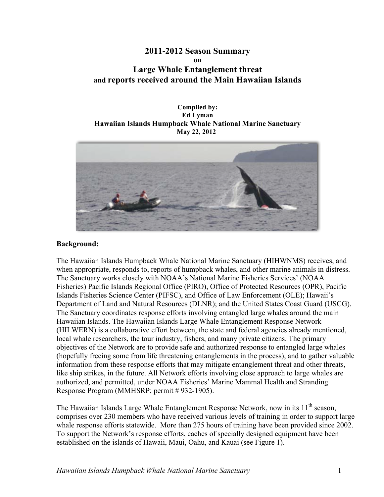# **Large Whale Entanglement threat and reports received around the Main Hawaiian Islands 2011-2012 Season Summary on**

### Ed Lyman  **May 22, 2012 Compiled by: Hawaiian Islands Humpback Whale National Marine Sanctuary**



# **Background:**

The Hawaiian Islands Humpback Whale National Marine Sanctuary (HIHWNMS) receives, and when appropriate, responds to, reports of humpback whales, and other marine animals in distress. The Sanctuary works closely with NOAA's National Marine Fisheries Services' (NOAA Fisheries) Pacific Islands Regional Office (PIRO), Office of Protected Resources (OPR), Pacific Islands Fisheries Science Center (PIFSC), and Office of Law Enforcement (OLE); Hawaii's Department of Land and Natural Resources (DLNR); and the United States Coast Guard (USCG). The Sanctuary coordinates response efforts involving entangled large whales around the main Hawaiian Islands. The Hawaiian Islands Large Whale Entanglement Response Network (HILWERN) is a collaborative effort between, the state and federal agencies already mentioned, local whale researchers, the tour industry, fishers, and many private citizens. The primary objectives of the Network are to provide safe and authorized response to entangled large whales (hopefully freeing some from life threatening entanglements in the process), and to gather valuable information from these response efforts that may mitigate entanglement threat and other threats, like ship strikes, in the future. All Network efforts involving close approach to large whales are authorized, and permitted, under NOAA Fisheries' Marine Mammal Health and Stranding Response Program (MMHSRP; permit # 932-1905).

The Hawaiian Islands Large Whale Entanglement Response Network, now in its 11<sup>th</sup> season, comprises over 230 members who have received various levels of training in order to support large whale response efforts statewide. More than 275 hours of training have been provided since 2002. To support the Network's response efforts, caches of specially designed equipment have been established on the islands of Hawaii, Maui, Oahu, and Kauai (see Figure 1).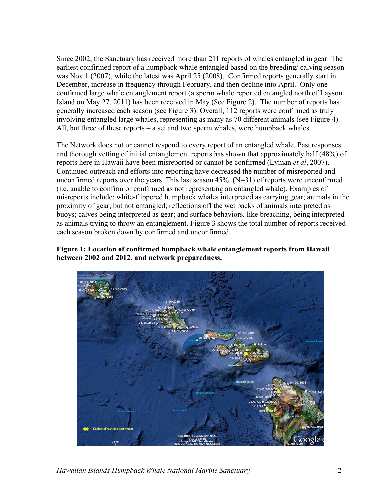Since 2002, the Sanctuary has received more than 211 reports of whales entangled in gear. The earliest confirmed report of a humpback whale entangled based on the breeding/ calving season was Nov 1 (2007), while the latest was April 25 (2008). Confirmed reports generally start in December, increase in frequency through February, and then decline into April. Only one confirmed large whale entanglement report (a sperm whale reported entangled north of Layson Island on May 27, 2011) has been received in May (See Figure 2). The number of reports has generally increased each season (see Figure 3). Overall, 112 reports were confirmed as truly involving entangled large whales, representing as many as 70 different animals (see Figure 4). All, but three of these reports – a sei and two sperm whales, were humpback whales.

unconfirmed reports over the years. This last season  $45\%$  (N=31) of reports were unconfirmed The Network does not or cannot respond to every report of an entangled whale. Past responses and thorough vetting of initial entanglement reports has shown that approximately half (48%) of reports here in Hawaii have been misreported or cannot be confirmed (Lyman *et al*, 2007). Continued outreach and efforts into reporting have decreased the number of misreported and (i.e. unable to confirm or confirmed as not representing an entangled whale). Examples of misreports include: white-flippered humpback whales interpreted as carrying gear; animals in the proximity of gear, but not entangled; reflections off the wet backs of animals interpreted as buoys; calves being interpreted as gear; and surface behaviors, like breaching, being interpreted as animals trying to throw an entanglement. Figure 3 shows the total number of reports received each season broken down by confirmed and unconfirmed.

**Figure 1: Location of confirmed humpback whale entanglement reports from Hawaii between 2002 and 2012, and network preparedness.** 



*Hawaiian Islands Humpback Whale National Marine Sanctuary* 2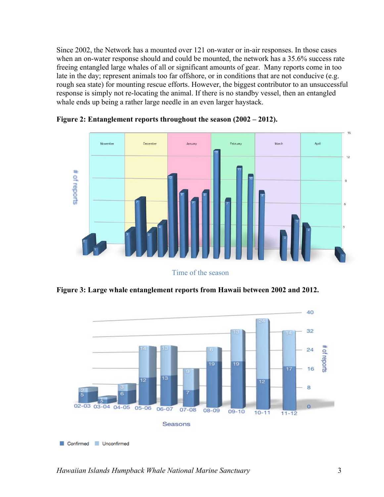late in the day; represent animals too far offshore, or in conditions that are not conducive (e.g. Since 2002, the Network has a mounted over 121 on-water or in-air responses. In those cases when an on-water response should and could be mounted, the network has a 35.6% success rate freeing entangled large whales of all or significant amounts of gear. Many reports come in too rough sea state) for mounting rescue efforts. However, the biggest contributor to an unsuccessful response is simply not re-locating the animal. If there is no standby vessel, then an entangled whale ends up being a rather large needle in an even larger haystack.



**Figure 2: Entanglement reports throughout the season (2002 – 2012).** 

Time of the season

**Figure 3: Large whale entanglement reports from Hawaii between 2002 and 2012.** 

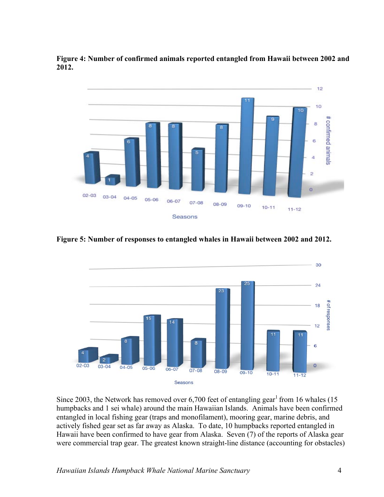**Figure 4: Number of confirmed animals reported entangled from Hawaii between 2002 and 2012.** 



**Figure 5: Number of responses to entangled whales in Hawaii between 2002 and 2012.** 



Since 2003, the Network has removed over  $6,700$  feet of entangling gear<sup>1</sup> from 16 whales (15 humpbacks and 1 sei whale) around the main Hawaiian Islands. Animals have been confirmed entangled in local fishing gear (traps and monofilament), mooring gear, marine debris, and actively fished gear set as far away as Alaska. To date, 10 humpbacks reported entangled in Hawaii have been confirmed to have gear from Alaska. Seven (7) of the reports of Alaska gear were commercial trap gear. The greatest known straight-line distance (accounting for obstacles)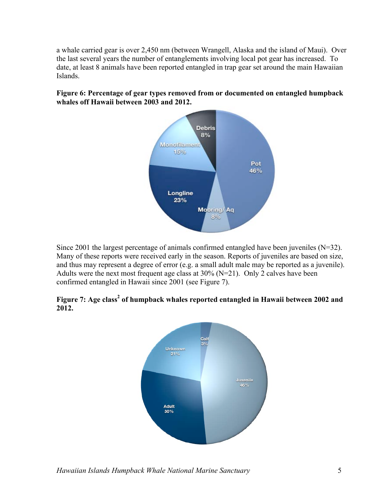a whale carried gear is over 2,450 nm (between Wrangell, Alaska and the island of Maui). Over the last several years the number of entanglements involving local pot gear has increased. To date, at least 8 animals have been reported entangled in trap gear set around the main Hawaiian Islands.

# **Figure 6: Percentage of gear types removed from or documented on entangled humpback whales off Hawaii between 2003 and 2012.**



Since 2001 the largest percentage of animals confirmed entangled have been juveniles (N=32). Many of these reports were received early in the season. Reports of juveniles are based on size, and thus may represent a degree of error (e.g. a small adult male may be reported as a juvenile). Adults were the next most frequent age class at  $30\%$  (N=21). Only 2 calves have been confirmed entangled in Hawaii since 2001 (see Figure 7).

# Figure 7: Age class<sup>2</sup> of humpback whales reported entangled in Hawaii between 2002 and **2012.**

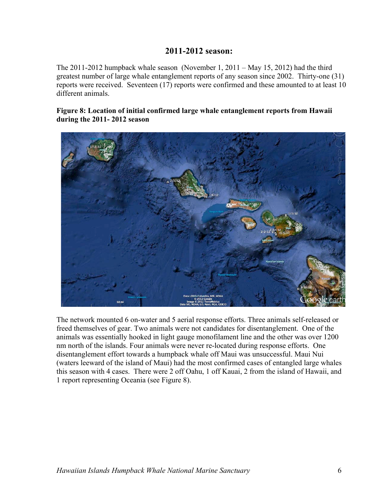# **2011-2012 season:**

 The 2011-2012 humpback whale season (November 1, 2011 – May 15, 2012) had the third reports were received. Seventeen (17) reports were confirmed and these amounted to at least 10 greatest number of large whale entanglement reports of any season since 2002. Thirty-one (31) different animals.

# **during the 2011- 2012 season Figure 8: Location of initial confirmed large whale entanglement reports from Hawaii**



 this season with 4 cases. There were 2 off Oahu, 1 off Kauai, 2 from the island of Hawaii, and The network mounted 6 on-water and 5 aerial response efforts. Three animals self-released or freed themselves of gear. Two animals were not candidates for disentanglement. One of the animals was essentially hooked in light gauge monofilament line and the other was over 1200 nm north of the islands. Four animals were never re-located during response efforts. One disentanglement effort towards a humpback whale off Maui was unsuccessful. Maui Nui (waters leeward of the island of Maui) had the most confirmed cases of entangled large whales 1 report representing Oceania (see Figure 8).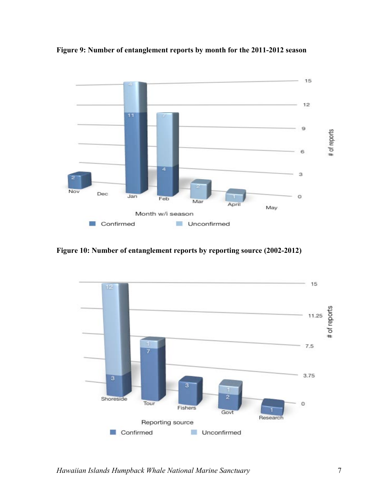

 **Figure 9: Number of entanglement reports by month for the 2011-2012 season** 

 **Figure 10: Number of entanglement reports by reporting source (2002-2012)** 

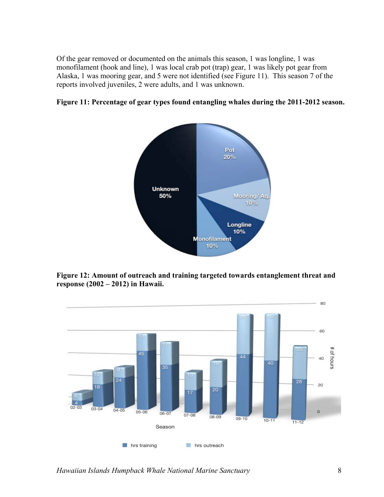Of the gear removed or documented on the animals this season, 1 was longline, 1 was monofilament (hook and line), 1 was local crab pot (trap) gear, 1 was likely pot gear from Alaska, 1 was mooring gear, and 5 were not identified (see Figure 11). This season 7 of the reports involved juveniles, 2 were adults, and 1 was unknown.





**Figure 12: Amount of outreach and training targeted towards entanglement threat and response (2002 – 2012) in Hawaii.** 



*Hawaiian Islands Humpback Whale National Marine Sanctuary* 8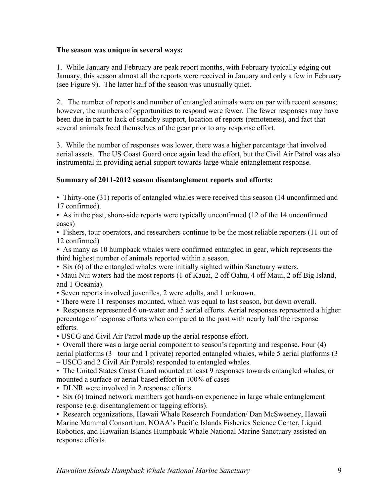### **The season was unique in several ways:**

 (see Figure 9). The latter half of the season was unusually quiet. 1. While January and February are peak report months, with February typically edging out January, this season almost all the reports were received in January and only a few in February

several animals freed themselves of the gear prior to any response effort. 2. The number of reports and number of entangled animals were on par with recent seasons; however, the numbers of opportunities to respond were fewer. The fewer responses may have been due in part to lack of standby support, location of reports (remoteness), and fact that

3. While the number of responses was lower, there was a higher percentage that involved aerial assets. The US Coast Guard once again lead the effort, but the Civil Air Patrol was also instrumental in providing aerial support towards large whale entanglement response.

# **Summary of 2011-2012 season disentanglement reports and efforts:**

 • Thirty-one (31) reports of entangled whales were received this season (14 unconfirmed and 17 confirmed).

• As in the past, shore-side reports were typically unconfirmed (12 of the 14 unconfirmed cases)

• Fishers, tour operators, and researchers continue to be the most reliable reporters (11 out of 12 confirmed)

• As many as 10 humpback whales were confirmed entangled in gear, which represents the third highest number of animals reported within a season.

• Six (6) of the entangled whales were initially sighted within Sanctuary waters.

 • Maui Nui waters had the most reports (1 of Kauai, 2 off Oahu, 4 off Maui, 2 off Big Island, and 1 Oceania).

• Seven reports involved juveniles, 2 were adults, and 1 unknown.

• There were 11 responses mounted, which was equal to last season, but down overall.

 • Responses represented 6 on-water and 5 aerial efforts. Aerial responses represented a higher percentage of response efforts when compared to the past with nearly half the response efforts.

• USCG and Civil Air Patrol made up the aerial response effort.

• Overall there was a large aerial component to season's reporting and response. Four (4) aerial platforms (3 –tour and 1 private) reported entangled whales, while 5 aerial platforms (3

– USCG and 2 Civil Air Patrols) responded to entangled whales.

• The United States Coast Guard mounted at least 9 responses towards entangled whales, or mounted a surface or aerial-based effort in 100% of cases

• DLNR were involved in 2 response efforts.

• Six (6) trained network members got hands-on experience in large whale entanglement response (e.g. disentanglement or tagging efforts).

• Research organizations, Hawaii Whale Research Foundation/ Dan McSweeney, Hawaii Marine Mammal Consortium, NOAA's Pacific Islands Fisheries Science Center, Liquid Robotics, and Hawaiian Islands Humpback Whale National Marine Sanctuary assisted on response efforts.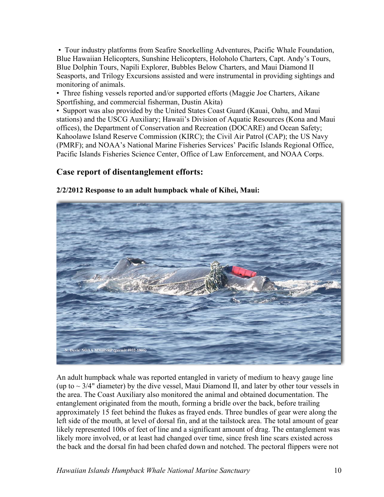monitoring of animals. • Tour industry platforms from Seafire Snorkelling Adventures, Pacific Whale Foundation, Blue Hawaiian Helicopters, Sunshine Helicopters, Holoholo Charters, Capt. Andy's Tours, Blue Dolphin Tours, Napili Explorer, Bubbles Below Charters, and Maui Diamond II Seasports, and Trilogy Excursions assisted and were instrumental in providing sightings and

 Sportfishing, and commercial fisherman, Dustin Akita) • Three fishing vessels reported and/or supported efforts (Maggie Joe Charters, Aikane

 Kahoolawe Island Reserve Commission (KIRC); the Civil Air Patrol (CAP); the US Navy Pacific Islands Fisheries Science Center, Office of Law Enforcement, and NOAA Corps. • Support was also provided by the United States Coast Guard (Kauai, Oahu, and Maui stations) and the USCG Auxiliary; Hawaii's Division of Aquatic Resources (Kona and Maui offices), the Department of Conservation and Recreation (DOCARE) and Ocean Safety; (PMRF); and NOAA's National Marine Fisheries Services' Pacific Islands Regional Office,

# **Case report of disentanglement efforts:**

# N. Davis/NOAA MMHSRP (permit #932-1905)

# **2/2/2012 Response to an adult humpback whale of Kihei, Maui:**

 approximately 15 feet behind the flukes as frayed ends. Three bundles of gear were along the likely represented 100s of feet of line and a significant amount of drag. The entanglement was An adult humpback whale was reported entangled in variety of medium to heavy gauge line (up to  $\sim$  3/4" diameter) by the dive vessel, Maui Diamond II, and later by other tour vessels in the area. The Coast Auxiliary also monitored the animal and obtained documentation. The entanglement originated from the mouth, forming a bridle over the back, before trailing left side of the mouth, at level of dorsal fin, and at the tailstock area. The total amount of gear likely more involved, or at least had changed over time, since fresh line scars existed across the back and the dorsal fin had been chafed down and notched. The pectoral flippers were not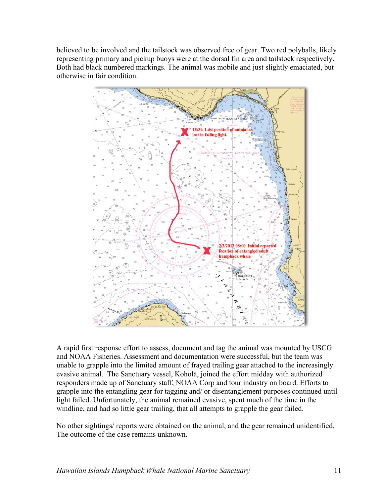believed to be involved and the tailstock was observed free of gear. Two red polyballs, likely representing primary and pickup buoys were at the dorsal fin area and tailstock respectively. Both had black numbered markings. The animal was mobile and just slightly emaciated, but otherwise in fair condition.



 evasive animal. The Sanctuary vessel, Koholā, joined the effort midday with authorized windline, and had so little gear trailing, that all attempts to grapple the gear failed. A rapid first response effort to assess, document and tag the animal was mounted by USCG and NOAA Fisheries. Assessment and documentation were successful, but the team was unable to grapple into the limited amount of frayed trailing gear attached to the increasingly responders made up of Sanctuary staff, NOAA Corp and tour industry on board. Efforts to grapple into the entangling gear for tagging and/ or disentanglement purposes continued until light failed. Unfortunately, the animal remained evasive, spent much of the time in the

 No other sightings/ reports were obtained on the animal, and the gear remained unidentified. The outcome of the case remains unknown.